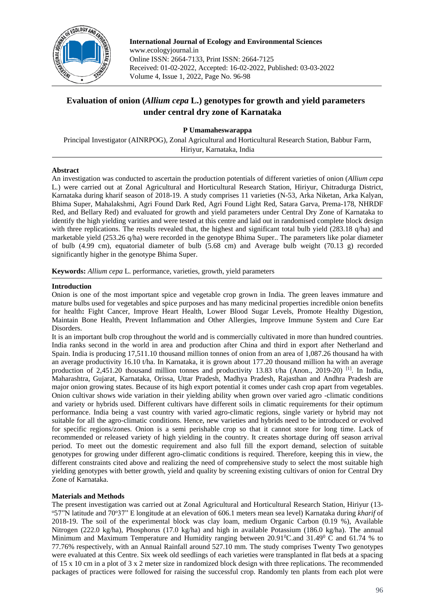

**International Journal of Ecology and Environmental Sciences**  www.ecologyjournal.in Online ISSN: 2664-7133, Print ISSN: 2664-7125 Received: 01-02-2022, Accepted: 16-02-2022, Published: 03-03-2022 Volume 4, Issue 1, 2022, Page No. 96-98

# **Evaluation of onion (***Allium cepa* **L.) genotypes for growth and yield parameters under central dry zone of Karnataka**

## **P Umamaheswarappa**

Principal Investigator (AINRPOG), Zonal Agricultural and Horticultural Research Station, Babbur Farm, Hiriyur, Karnataka, India

#### **Abstract**

An investigation was conducted to ascertain the production potentials of different varieties of onion (*Allium cepa*  L*.*) were carried out at Zonal Agricultural and Horticultural Research Station, Hiriyur, Chitradurga District, Karnataka during kharif season of 2018-19. A study comprises 11 varieties (N-53, Arka Niketan, Arka Kalyan, Bhima Super, Mahalakshmi, Agri Found Dark Red, Agri Found Light Red, Satara Garva, Prema-178, NHRDF Red, and Bellary Red) and evaluated for growth and yield parameters under Central Dry Zone of Karnataka to identify the high yielding varities and were tested at this centre and laid out in randomised complete block design with three replications. The results revealed that, the highest and significant total bulb yield (283.18 q/ha) and marketable yield (253.26 q/ha) were recorded in the genotype Bhima Super.. The parameters like polar diameter of bulb (4.99 cm), equatorial diameter of bulb (5.68 cm) and Average bulb weight (70.13 g) recorded significantly higher in the genotype Bhima Super.

**Keywords:** *Allium cepa* L. performance, varieties, growth, yield parameters

### **Introduction**

Onion is one of the most important spice and vegetable crop grown in India. The green leaves immature and mature bulbs used for vegetables and spice purposes and has many medicinal properties incredible onion benefits for health**:** Fight Cancer, Improve Heart Health, Lower Blood Sugar Levels, Promote Healthy Digestion, Maintain Bone Health, Prevent Inflammation and Other Allergies, Improve Immune System and Cure Ear Disorders.

It is an important bulb crop throughout the world and is commercially cultivated in more than hundred countries. India ranks second in the world in area and production after China and third in export after Netherland and Spain. India is producing 17,511.10 thousand million tonnes of onion from an area of 1,087.26 thousand ha with an average productivity 16.10 t/ha. In Karnataka, it is grown about 177.20 thousand million ha with an average production of 2,451.20 thousand million tonnes and productivity 13.83 t/ha (Anon., 2019-20) <sup>[1]</sup>. In India, Maharashtra, Gujarat, Karnataka, Orissa, Uttar Pradesh, Madhya Pradesh, Rajasthan and Andhra Pradesh are major onion growing states. Because of its high export potential it comes under cash crop apart from vegetables. Onion cultivar shows wide variation in their yielding ability when grown over varied agro -climatic conditions and variety or hybrids used. Different cultivars have different soils in climatic requirements for their optimum performance. India being a vast country with varied agro-climatic regions, single variety or hybrid may not suitable for all the agro-climatic conditions. Hence, new varieties and hybrids need to be introduced or evolved for specific regions/zones. Onion is a semi perishable crop so that it cannot store for long time. Lack of recommended or released variety of high yielding in the country. It creates shortage during off season arrival period. To meet out the domestic requirement and also full fill the export demand, selection of suitable genotypes for growing under different agro-climatic conditions is required. Therefore, keeping this in view, the different constraints cited above and realizing the need of comprehensive study to select the most suitable high yielding genotypes with better growth, yield and quality by screening existing cultivars of onion for Central Dry Zone of Karnataka.

#### **Materials and Methods**

The present investigation was carried out at Zonal Agricultural and Horticultural Research Station, Hiriyur (13- <sup>o</sup>57"N latitude and 70°37" E longitude at an elevation of 606.1 meters mean sea level) Karnataka during *kharif* of 2018-19. The soil of the experimental block was clay loam, medium Organic Carbon (0.19 %), Available Nitrogen (222.0 kg/ha), Phosphorus (17.0 kg/ha) and high in available Potassium (186.0 kg/ha). The annual Minimum and Maximum Temperature and Humidity ranging between  $20.91^{\circ}$ C and  $31.49^{\circ}$  C and 61.74 % to 77.76% respectively, with an Annual Rainfall around 527.10 mm. The study comprises Twenty Two genotypes were evaluated at this Centre. Six week old seedlings of each varieties were transplanted in flat beds at a spacing of 15 x 10 cm in a plot of 3 x 2 meter size in randomized block design with three replications. The recommended packages of practices were followed for raising the successful crop. Randomly ten plants from each plot were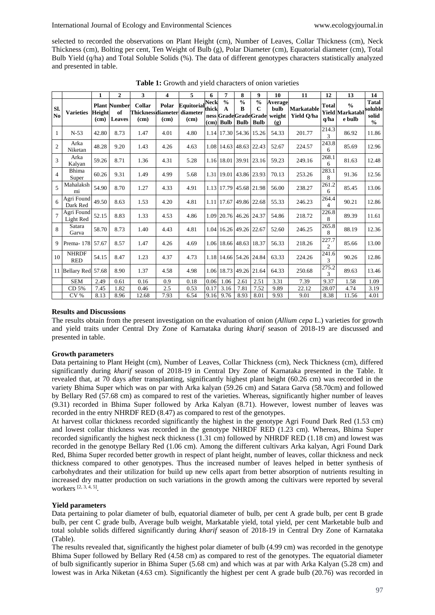selected to recorded the observations on Plant Height (cm), Number of Leaves, Collar Thickness (cm), Neck Thickness (cm), Bolting per cent, Ten Weight of Bulb (g), Polar Diameter (cm), Equatorial diameter (cm), Total Bulb Yield (q/ha) and Total Soluble Solids (%). The data of different genotypes characters statistically analyzed and presented in table.

|                       |                            | 1              | $\overline{2}$                      | 3              | 4             | 5                                                | 6                    | 7                                          | 8                                 | 9                                                                   | 10                               | 11                              | 12                      | 13                                                | 14                                                |
|-----------------------|----------------------------|----------------|-------------------------------------|----------------|---------------|--------------------------------------------------|----------------------|--------------------------------------------|-----------------------------------|---------------------------------------------------------------------|----------------------------------|---------------------------------|-------------------------|---------------------------------------------------|---------------------------------------------------|
| SI.<br>N <sub>0</sub> | <b>Varieties</b>           | Height<br>(cm) | <b>Plant Number</b><br>of<br>Leaves | Collar<br>(cm) | Polar<br>(cm) | Equitorial<br>Thicknessdiameter diameter<br>(cm) | <b>Neck</b><br>thick | $\frac{0}{0}$<br>$\mathbf{A}$<br>(cm) Bulb | $\frac{0}{0}$<br>B<br><b>Bulb</b> | $\frac{0}{0}$<br>$\mathbf C$<br>ness GradeGradeGrade<br><b>Bulb</b> | Average<br>bulb<br>weight<br>(g) | <b>Markatable</b><br>Yield Q/ha | <b>Total</b><br>q/ha    | $\frac{0}{0}$<br><b>Yield Markatabl</b><br>e bulb | <b>Tatal</b><br>soluble<br>solid<br>$\frac{0}{0}$ |
| 1                     | $N-53$                     | 42.80          | 8.73                                | 1.47           | 4.01          | 4.80                                             |                      | 1.14 17.30 54.36 15.26                     |                                   |                                                                     | 54.33                            | 201.77                          | 214.3<br>3              | 86.92                                             | 11.86                                             |
| $\overline{c}$        | Arka<br>Niketan            | 48.28          | 9.20                                | 1.43           | 4.26          | 4.63                                             |                      | 1.08 14.63                                 | 48.63 22.43                       |                                                                     | 52.67                            | 224.57                          | 243.8<br>6              | 85.69                                             | 12.96                                             |
| 3                     | Arka<br>Kalyan             | 59.26          | 8.71                                | 1.36           | 4.31          | 5.28                                             |                      | 1.16 18.01                                 | 39.91                             | 23.16                                                               | 59.23                            | 249.16                          | 268.1<br>6              | 81.63                                             | 12.48                                             |
| $\overline{4}$        | Bhima<br>Super             | 60.26          | 9.31                                | 1.49           | 4.99          | 5.68                                             |                      | 1.31 19.01                                 | 43.86 23.93                       |                                                                     | 70.13                            | 253.26                          | 283.1<br>8              | 91.36                                             | 12.56                                             |
| $\overline{5}$        | Mahalaksh<br>mi            | 54.90          | 8.70                                | 1.27           | 4.33          | 4.91                                             |                      | 1.13 17.79                                 | 45.68 21.98                       |                                                                     | 56.00                            | 238.27                          | 261.2<br>6              | 85.45                                             | 13.06                                             |
| 6                     | Agri Found<br>Dark Red     | 49.50          | 8.63                                | 1.53           | 4.20          | 4.81                                             |                      | 1.11 17.67                                 | 49.86 22.68                       |                                                                     | 55.33                            | 246.23                          | 264.4<br>4              | 90.21                                             | 12.86                                             |
| $\overline{7}$        | Agri Found<br>Light Red    | 52.15          | 8.83                                | 1.33           | 4.53          | 4.86                                             |                      | 1.09 20.76 46.26 24.37                     |                                   |                                                                     | 54.86                            | 218.72                          | 226.8<br>8              | 89.39                                             | 11.61                                             |
| 8                     | Satara<br>Garva            | 58.70          | 8.73                                | 1.40           | 4.43          | 4.81                                             |                      | 1.04 16.26 49.26 22.67                     |                                   |                                                                     | 52.60                            | 246.25                          | 265.8<br>8              | 88.19                                             | 12.36                                             |
| 9                     | Prema-178                  | 57.67          | 8.57                                | 1.47           | 4.26          | 4.69                                             |                      | 1.06 18.66 48.63 18.37                     |                                   |                                                                     | 56.33                            | 218.26                          | 227.7<br>$\overline{2}$ | 85.66                                             | 13.00                                             |
| 10                    | <b>NHRDF</b><br><b>RED</b> | 54.15          | 8.47                                | 1.23           | 4.37          | 4.73                                             |                      | 1.18 14.66 54.26 24.84                     |                                   |                                                                     | 63.33                            | 224.26                          | 241.6<br>3              | 90.26                                             | 12.86                                             |
| 11                    | Bellary Red 57.68          |                | 8.90                                | 1.37           | 4.58          | 4.98                                             |                      | 1.06 18.73                                 | 49.26 21.64                       |                                                                     | 64.33                            | 250.68                          | 275.2<br>3              | 89.63                                             | 13.46                                             |
|                       | <b>SEM</b>                 | 2.49           | 0.61                                | 0.16           | 0.9           | 0.18                                             | 0.06                 | 1.06                                       | 2.61                              | 2.51                                                                | 3.31                             | 7.39                            | 9.37                    | 1.58                                              | 1.09                                              |
|                       | CD 5%                      | 7.45           | 1.82                                | 0.46           | 2.5           | 0.53                                             | 0.17                 | 3.16                                       | 7.81                              | 7.52                                                                | 9.89                             | 22.12                           | 28.07                   | 4.74                                              | 3.19                                              |
|                       | CV %                       | 8.13           | 8.96                                | 12.68          | 7.93          | 6.54                                             | 9.16                 | 9.76                                       | 8.93                              | 8.01                                                                | 9.93                             | 9.01                            | 8.38                    | 11.56                                             | 4.01                                              |

Table 1: Growth and yield characters of onion varieties

#### **Results and Discussions**

The results obtain from the present investigation on the evaluation of onion (*Allium cepa* L.) varieties for growth and yield traits under Central Dry Zone of Karnataka during *kharif* season of 2018-19 are discussed and presented in table.

#### **Growth parameters**

Data pertaining to Plant Height (cm), Number of Leaves, Collar Thickness (cm), Neck Thickness (cm), differed significantly during *kharif* season of 2018-19 in Central Dry Zone of Karnataka presented in the Table. It revealed that, at 70 days after transplanting, significantly highest plant height (60.26 cm) was recorded in the variety Bhima Super which was on par with Arka kalyan (59.26 cm) and Satara Garva (58.70cm) and followed by Bellary Red (57.68 cm) as compared to rest of the varieties. Whereas, significantly higher number of leaves (9.31) recorded in Bhima Super followed by Arka Kalyan (8.71). However, lowest number of leaves was recorded in the entry NHRDF RED (8.47) as compared to rest of the genotypes.

At harvest collar thickness recorded significantly the highest in the genotype Agri Found Dark Red (1.53 cm) and lowest collar thickness was recorded in the genotype NHRDF RED (1.23 cm). Whereas, Bhima Super recorded significantly the highest neck thickness (1.31 cm) followed by NHRDF RED (1.18 cm) and lowest was recorded in the genotype Bellary Red (1.06 cm). Among the different cultivars Arka kalyan, Agri Found Dark Red, Bhima Super recorded better growth in respect of plant height, number of leaves, collar thickness and neck thickness compared to other genotypes. Thus the increased number of leaves helped in better synthesis of carbohydrates and their utilization for build up new cells apart from better absorption of nutrients resulting in increased dry matter production on such variations in the growth among the cultivars were reported by several workers [2, 3, 4, 5] .

## **Yield parameters**

Data pertaining to polar diameter of bulb, equatorial diameter of bulb, per cent A grade bulb, per cent B grade bulb, per cent C grade bulb, Average bulb weight, Markatable yield, total yield, per cent Marketable bulb and total soluble solids differed significantly during *kharif* season of 2018-19 in Central Dry Zone of Karnataka (Table).

The results revealed that, significantly the highest polar diameter of bulb (4.99 cm) was recorded in the genotype Bhima Super followed by Bellary Red (4.58 cm) as compared to rest of the genotypes. The equatorial diameter of bulb significantly superior in Bhima Super (5.68 cm) and which was at par with Arka Kalyan (5.28 cm) and lowest was in Arka Niketan (4.63 cm). Significantly the highest per cent A grade bulb (20.76) was recorded in